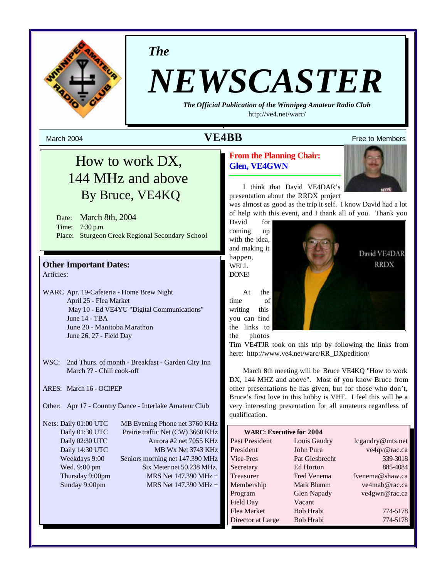

*The*

# *NEWSCASTER*

*The Official Publication of the Winnipeg Amateur Radio Club* http://ve4.net/warc/

## March 2004  $\bf{VEABB}$  Free to Members

## How to work DX, 144 MHz and above By Bruce, VE4KQ

Date: March 8th, 2004 Time: 7:30 p.m. Place: Sturgeon Creek Regional Secondary School

## **Other Important Dates:**

Articles:

- WARC Apr. 19-Cafeteria Home Brew Night April 25 - Flea Market May 10 - Ed VE4YU "Digital Communications" June 14 - TBA June 20 - Manitoba Marathon June 26, 27 - Field Day
- WSC: 2nd Thurs. of month Breakfast Garden City Inn March ?? - Chili cook-off
- ARES: March 16 OCIPEP
- Other: Apr 17 Country Dance Interlake Amateur Club

Nets: Daily 01:00 UTC MB Evening Phone net 3760 KHz Daily 01:30 UTC Prairie traffic Net (CW) 3660 KHz Daily 02:30 UTC Aurora #2 net 7055 KHz Daily 14:30 UTC MB Wx Net 3743 KHz Weekdays 9:00 Seniors morning net 147.390 MHz Wed. 9:00 pm Six Meter net 50.238 MHz. Thursday 9:00pm MRS Net  $147.390 \text{ MHz} +$ Sunday 9:00pm MRS Net 147.390 MHz +

**From the Planning Chair: Glen, VE4GWN**



David VE4DAR **RRDX** 

I think that David VE4DAR's presentation about the RRDX project

was almost as good as the trip it self. I know David had a lot of help with this event, and I thank all of you. Thank you

David for coming up with the idea, and making it happen, WELL DONE!

At the time of writing this you can find the links to the photos

Tim VE4TJR took on this trip by following the links from here: http://www.ve4.net/warc/RR\_DXpedition/

March 8th meeting will be Bruce VE4KQ "How to work DX, 144 MHZ and above". Most of you know Bruce from other presentations he has given, but for those who don't, Bruce's first love in this hobby is VHF. I feel this will be a very interesting presentation for all amateurs regardless of qualification.

| <b>WARC: Executive for 2004</b> |                    |                  |  |  |  |
|---------------------------------|--------------------|------------------|--|--|--|
| Past President                  | Louis Gaudry       | lcgaudry@mts.net |  |  |  |
| President                       | John Pura          | ve4qv@rac.ca     |  |  |  |
| Vice-Pres                       | Pat Giesbrecht     | 339-3018         |  |  |  |
| Secretary                       | Ed Horton          | 885-4084         |  |  |  |
| Treasurer                       | <b>Fred Venema</b> | fvenema@shaw.ca  |  |  |  |
| Membership                      | Mark Blumm         | ve4mab@rac.ca    |  |  |  |
| Program                         | <b>Glen Napady</b> | ve4gwn@rac.ca    |  |  |  |
| Field Day                       | Vacant             |                  |  |  |  |
| Flea Market                     | Bob Hrabi          | 774-5178         |  |  |  |
| Director at Large               | Bob Hrabi          | 774-5178         |  |  |  |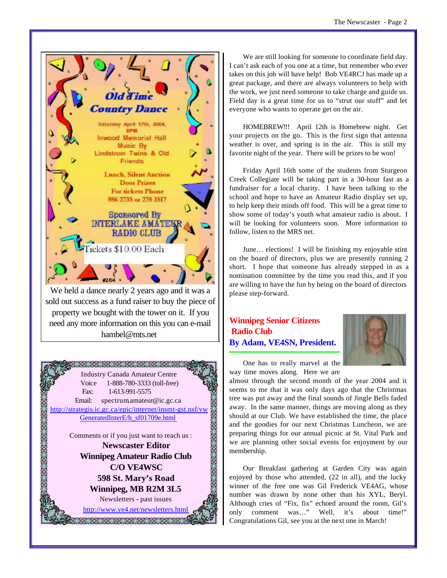

We held a dance nearly 2 years ago and it was a sold out success as a fund raiser to buy the piece of property we bought with the tower on it. If you need any more information on this you can e-mail hambel@mts.net



We are still looking for someone to coordinate field day. I can't ask each of you one at a time, but remember who ever takes on this job will have help! Bob VE4RCJ has made up a great package, and there are always volunteers to help with the work, we just need someone to take charge and guide us. Field day is a great time for us to "strut our stuff" and let everyone who wants to operate get on the air.

HOMEBREW!!! April 12th is Homebrew night. Get your projects on the go. This is the first sign that antenna weather is over, and spring is in the air. This is still my favorite night of the year. There will be prizes to be won!

Friday April 16th some of the students from Sturgeon Creek Collegiate will be taking part in a 30-hour fast as a fundraiser for a local charity. I have been talking to the school and hope to have an Amateur Radio display set up, to help keep their minds off food. This will be a great time to show some of today's youth what amateur radio is about. I will be looking for volunteers soon. More information to follow, listen to the MRS net.

June… elections! I will be finishing my enjoyable stint on the board of directors, plus we are presently running 2 short. I hope that someone has already stepped in as a nomination committee by the time you read this, and if you are willing to have the fun by being on the board of directors please step-forward.

## **Winnipeg Senior Citizens Radio Club By Adam, VE4SN, President.**



One has to really marvel at the way time moves along. Here we are

almost through the second month of the year 2004 and it seems to me that it was only days ago that the Christmas tree was put away and the final sounds of Jingle Bells faded away. In the same manner, things are moving along as they should at our Club. We have established the time, the place and the goodies for our next Christmas Luncheon, we are preparing things for our annual picnic at St. Vital Park and we are planning other social events for enjoyment by our membership.

Our Breakfast gathering at Garden City was again enjoyed by those who attended, (22 in all), and the lucky winner of the free one was Gil Frederick VE4AG, whose number was drawn by none other than his XYL, Beryl. Although cries of "Fix, fix" echoed around the room, Gil's only comment was…" Well, it's about time!" Congratulations Gil, see you at the next one in March!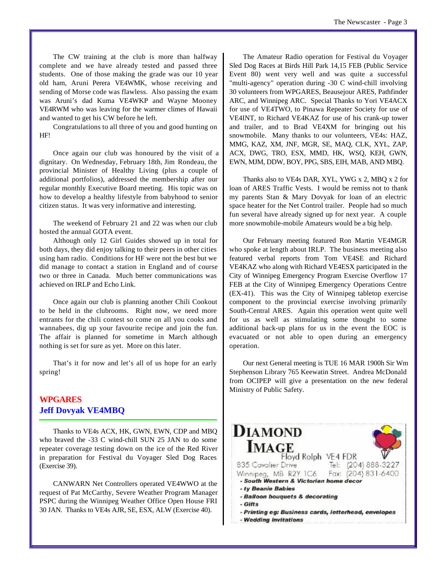The CW training at the club is more than halfway complete and we have already tested and passed three students. One of those making the grade was our 10 year old ham, Aruni Perera VE4WMK, whose receiving and sending of Morse code was flawless. Also passing the exam was Aruni's dad Kuma VE4WKP and Wayne Mooney VE4RWM who was leaving for the warmer climes of Hawaii and wanted to get his CW before he left.

Congratulations to all three of you and good hunting on HF!

Once again our club was honoured by the visit of a dignitary. On Wednesday, February 18th, Jim Rondeau, the provincial Minister of Healthy Living (plus a couple of additional portfolios), addressed the membership after our regular monthly Executive Board meeting. His topic was on how to develop a healthy lifestyle from babyhood to senior citizen status. It was very informative and interesting.

The weekend of February 21 and 22 was when our club hosted the annual GOTA event.

Although only 12 Girl Guides showed up in total for both days, they did enjoy talking to their peers in other cities using ham radio. Conditions for HF were not the best but we did manage to contact a station in England and of course two or three in Canada. Much better communications was achieved on IRLP and Echo Link.

Once again our club is planning another Chili Cookout to be held in the clubrooms. Right now, we need more entrants for the chili contest so come on all you cooks and wannabees, dig up your favourite recipe and join the fun. The affair is planned for sometime in March although nothing is set for sure as yet. More on this later.

That's it for now and let's all of us hope for an early spring!

## **WPGARES Jeff Dovyak VE4MBQ**

Thanks to VE4s ACX, HK, GWN, EWN, CDP and MBQ who braved the -33 C wind-chill SUN 25 JAN to do some repeater coverage testing down on the ice of the Red River in preparation for Festival du Voyager Sled Dog Races (Exercise 39).

CANWARN Net Controllers operated VE4WWO at the request of Pat McCarthy, Severe Weather Program Manager PSPC during the Winnipeg Weather Office Open House FRI 30 JAN. Thanks to VE4s AJR, SE, ESX, ALW (Exercise 40).

The Amateur Radio operation for Festival du Voyager Sled Dog Races at Birds Hill Park 14,15 FEB (Public Service Event 80) went very well and was quite a successful "multi-agency" operation during -30 C wind-chill involving 30 volunteers from WPGARES, Beausejour ARES, Pathfinder ARC, and Winnipeg ARC. Special Thanks to Yori VE4ACX for use of VE4TWO, to Pinawa Repeater Society for use of VE4INT, to Richard VE4KAZ for use of his crank-up tower and trailer, and to Brad VE4XM for bringing out his snowmobile. Many thanks to our volunteers, VE4s: HAZ, MMG, KAZ, XM, JNF, MGR, SE, MAQ, CLK, XYL, ZAP, ACX, DWG, TRO, ESX, MMD, HK, WSQ, KEH, GWN, EWN, MJM, DDW, BOY, PPG, SBS, EIH, MAB, AND MBQ.

Thanks also to VE4s DAR, XYL, YWG x 2, MBQ x 2 for loan of ARES Traffic Vests. I would be remiss not to thank my parents Stan & Mary Dovyak for loan of an electric space heater for the Net Control trailer. People had so much fun several have already signed up for next year. A couple more snowmobile-mobile Amateurs would be a big help.

Our February meeting featured Ron Martin VE4MGR who spoke at length about IRLP. The business meeting also featured verbal reports from Tom VE4SE and Richard VE4KAZ who along with Richard VE4ESX participated in the City of Winnipeg Emergency Program Exercise Overflow 17 FEB at the City of Winnipeg Emergency Operations Centre (EX-41). This was the City of Winnipeg tabletop exercise component to the provincial exercise involving primarily South-Central ARES. Again this operation went quite well for us as well as stimulating some thought to some additional back-up plans for us in the event the EOC is evacuated or not able to open during an emergency operation.

Our next General meeting is TUE 16 MAR 1900h Sir Wm Stephenson Library 765 Keewatin Street. Andrea McDonald from OCIPEP will give a presentation on the new federal Ministry of Public Safety.

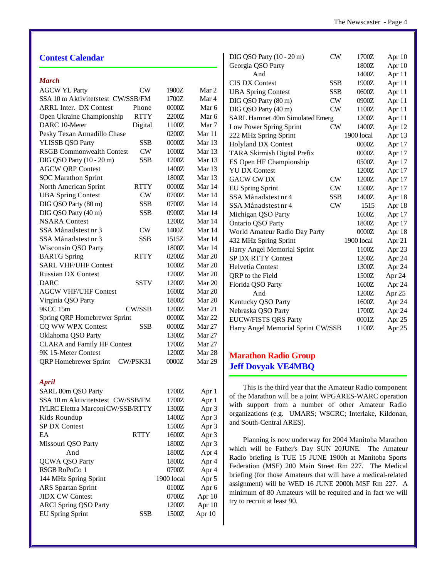| <b>Contest Calendar</b>                    |            |        | DIG QSO Party (10 - 20 m)<br><b>CW</b>                        | 1700Z          | Apr 10           |
|--------------------------------------------|------------|--------|---------------------------------------------------------------|----------------|------------------|
|                                            |            |        | Georgia QSO Party<br>And                                      | 1800Z<br>1400Z | Apr 10<br>Apr 11 |
| <b>March</b>                               |            |        | <b>CIS DX Contest</b><br><b>SSB</b>                           | 1900Z          | Apr 11           |
| <b>AGCW YL Party</b><br><b>CW</b>          | 1900Z      | Mar 2  | <b>UBA Spring Contest</b><br><b>SSB</b>                       | 0600Z          |                  |
| SSA 10 m Aktivitetstest CW/SSB/FM          | 1700Z      | Mar 4  | DIG QSO Party (80 m)<br>${\rm\bf CW}$                         |                | Apr 11           |
| <b>ARRL Inter. DX Contest</b><br>Phone     | $0000Z$    | Mar 6  | <b>CW</b>                                                     | 0900Z          | Apr 11           |
| <b>RTTY</b><br>Open Ukraine Championship   | 2200Z      | Mar 6  | DIG QSO Party (40 m)                                          | 1100Z          | Apr 11           |
| DARC 10-Meter<br>Digital                   | 1100Z      | Mar 7  | <b>SARL Hamnet 40m Simulated Emerg</b>                        | 1200Z          | Apr 11           |
| Pesky Texan Armadillo Chase                | 0200Z      | Mar 11 | CW<br>Low Power Spring Sprint                                 | 1400Z          | Apr 12           |
| <b>SSB</b><br>YLISSB QSO Party             | $0000Z$    | Mar 13 | 222 MHz Spring Sprint                                         | 1900 local     | Apr 13           |
| <b>RSGB Commonwealth Contest</b><br>CW     | $1000Z$    | Mar 13 | <b>Holyland DX Contest</b>                                    | 0000Z          | Apr 17           |
| <b>SSB</b><br>DIG QSO Party (10 - 20 m)    | 1200Z      | Mar 13 | TARA Skirmish Digital Prefix                                  | 0000Z          | Apr 17           |
|                                            | 1400Z      | Mar 13 | ES Open HF Championship                                       | 0500Z          | Apr 17           |
| <b>AGCW QRP Contest</b>                    | 1800Z      |        | <b>YU DX Contest</b>                                          | 1200Z          | Apr 17           |
| <b>SOC</b> Marathon Sprint                 |            | Mar 13 | <b>GACW CW DX</b><br><b>CW</b>                                | 1200Z          | Apr 17           |
| North American Sprint<br><b>RTTY</b>       | $0000Z$    | Mar 14 | ${\rm\bf CW}$<br><b>EU Spring Sprint</b>                      | 1500Z          | Apr 17           |
| <b>UBA Spring Contest</b><br><b>CW</b>     | 0700Z      | Mar 14 | SSA Månadstest nr 4<br><b>SSB</b>                             | 1400Z          | Apr 18           |
| DIG QSO Party (80 m)<br><b>SSB</b>         | 0700Z      | Mar 14 | SSA Månadstest nr 4<br><b>CW</b>                              | 1515           | Apr 18           |
| <b>SSB</b><br>DIG QSO Party (40 m)         | 0900Z      | Mar 14 | Michigan QSO Party                                            | 1600Z          | Apr 17           |
| <b>NSARA</b> Contest                       | 1200Z      | Mar 14 | Ontario QSO Party                                             | 1800Z          | Apr 17           |
| SSA Månadstest nr 3<br><b>CW</b>           | 1400Z      | Mar 14 | World Amateur Radio Day Party                                 | $0000Z$        | Apr 18           |
| <b>SSB</b><br>SSA Månadstest nr 3          | 1515Z      | Mar 14 | 432 MHz Spring Sprint                                         | 1900 local     | Apr 21           |
| Wisconsin QSO Party                        | 1800Z      | Mar 14 | Harry Angel Memorial Sprint                                   | 1100Z          | Apr 23           |
| <b>BARTG</b> Spring<br><b>RTTY</b>         | 0200Z      | Mar 20 | SP DX RTTY Contest                                            | 1200Z          | Apr 24           |
| <b>SARL VHF/UHF Contest</b>                | $1000Z$    | Mar 20 | Helvetia Contest                                              | 1300Z          | Apr 24           |
| <b>Russian DX Contest</b>                  | 1200Z      | Mar 20 | QRP to the Field                                              | 1500Z          | Apr 24           |
| <b>SSTV</b><br><b>DARC</b>                 | 1200Z      | Mar 20 | Florida QSO Party                                             | 1600Z          | Apr 24           |
| <b>AGCW VHF/UHF Contest</b>                | 1600Z      | Mar 20 | And                                                           | 1200Z          | Apr 25           |
| Virginia QSO Party                         | 1800Z      | Mar 20 | Kentucky QSO Party                                            | 1600Z          | Apr 24           |
| CW/SSB<br>9KCC 15m                         | 1200Z      | Mar 21 | Nebraska QSO Party                                            | 1700Z          | Apr 24           |
| Spring QRP Homebrewer Sprint               | $0000Z$    | Mar 22 | <b>EUCW/FISTS QRS Party</b>                                   | $0001Z$        | Apr 25           |
| <b>SSB</b><br>CQ WW WPX Contest            | $0000Z$    | Mar 27 | Harry Angel Memorial Sprint CW/SSB                            | 1100Z          | Apr 25           |
| Oklahoma QSO Party                         | 1300Z      | Mar 27 |                                                               |                |                  |
| <b>CLARA</b> and Family HF Contest         | 1700Z      | Mar 27 |                                                               |                |                  |
| 9K 15-Meter Contest                        | 1200Z      | Mar 28 | <b>Marathon Radio Group</b>                                   |                |                  |
| <b>QRP</b> Homebrewer Sprint<br>CW/PSK31   | $0000Z$    | Mar 29 |                                                               |                |                  |
|                                            |            |        | <b>Jeff Dovyak VE4MBO</b>                                     |                |                  |
| <b>April</b>                               |            |        |                                                               |                |                  |
| SARL 80m QSO Party                         | 1700Z      | Apr 1  | This is the third year that the Amateur Radio component       |                |                  |
| SSA 10 m Aktivitetstest CW/SSB/FM          | 1700Z      | Apr 1  | of the Marathon will be a joint WPGARES-WARC operation        |                |                  |
| <b>IYLRC Elettra Marconi CW/SSB/RTTY</b>   | 1300Z      | Apr 3  | with support from a number of other Amateur Radio             |                |                  |
| Kids Roundup                               | 1400Z      | Apr 3  | organizations (e.g. UMARS; WSCRC; Interlake, Kildonan,        |                |                  |
| SP DX Contest                              | 1500Z      | Apr 3  | and South-Central ARES).                                      |                |                  |
| <b>RTTY</b><br>EA                          | 1600Z      | Apr 3  |                                                               |                |                  |
| Missouri QSO Party                         | 1800Z      | Apr 3  | Planning is now underway for 2004 Manitoba Marathon           |                |                  |
| And                                        | 1800Z      | Apr 4  | which will be Father's Day SUN 20JUNE.                        |                | The Amateur      |
| <b>QCWA QSO Party</b>                      | 1800Z      | Apr 4  | Radio briefing is TUE 15 JUNE 1900h at Manitoba Sports        |                |                  |
| RSGB RoPoCo 1                              | 0700Z      | Apr 4  | Federation (MSF) 200 Main Street Rm 227. The Medical          |                |                  |
| 144 MHz Spring Sprint                      | 1900 local | Apr 5  | briefing (for those Amateurs that will have a medical-related |                |                  |
| <b>ARS</b> Spartan Sprint                  | 0100Z      |        | assignment) will be WED 16 JUNE 2000h MSF Rm 227. A           |                |                  |
| <b>JIDX CW Contest</b>                     | 0700Z      | Apr 6  | minimum of 80 Amateurs will be required and in fact we will   |                |                  |
|                                            | 1200Z      | Apr 10 | try to recruit at least 90.                                   |                |                  |
| <b>ARCI Spring QSO Party</b><br><b>SSB</b> | 1500Z      | Apr 10 |                                                               |                |                  |
| <b>EU Spring Sprint</b>                    |            | Apr 10 |                                                               |                |                  |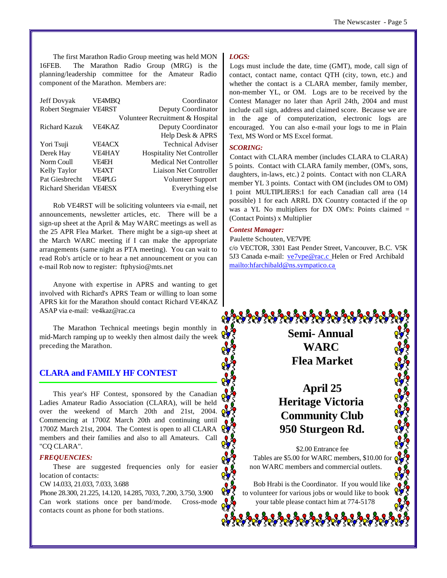The first Marathon Radio Group meeting was held MON 16FEB. The Marathon Radio Group (MRG) is the planning/leadership committee for the Amateur Radio component of the Marathon. Members are:

| Jeff Dovyak             | <b>VE4MBO</b> | Coordinator                       |
|-------------------------|---------------|-----------------------------------|
| Robert Stegmaier VE4RST |               | Deputy Coordinator                |
|                         |               | Volunteer Recruitment & Hospital  |
| <b>Richard Kazuk</b>    | <b>VE4KAZ</b> | Deputy Coordinator                |
|                         |               | Help Desk & APRS                  |
| Yori Tsuji              | <b>VE4ACX</b> | <b>Technical Adviser</b>          |
| Derek Hay               | <b>VE4HAY</b> | <b>Hospitality Net Controller</b> |
| Norm Coull              | <b>VF4EH</b>  | <b>Medical Net Controller</b>     |
| Kelly Taylor            | <b>VF4XT</b>  | Liaison Net Controller            |
| Pat Giesbrecht          | VE4PLG        | Volunteer Support                 |
| Richard Sheridan VE4ESX |               | Everything else                   |

Rob VE4RST will be soliciting volunteers via e-mail, net announcements, newsletter articles, etc. There will be a sign-up sheet at the April & May WARC meetings as well as the 25 APR Flea Market. There might be a sign-up sheet at the March WARC meeting if I can make the appropriate arrangements (same night as PTA meeting). You can wait to read Rob's article or to hear a net announcement or you can e-mail Rob now to register: ftphysio@mts.net

Anyone with expertise in APRS and wanting to get involved with Richard's APRS Team or willing to loan some APRS kit for the Marathon should contact Richard VE4KAZ ASAP via e-mail: ve4kaz@rac.ca

The Marathon Technical meetings begin monthly in mid-March ramping up to weekly then almost daily the week preceding the Marathon.

## **CLARA and FAMILY HF CONTEST**

This year's HF Contest, sponsored by the Canadian Ladies Amateur Radio Association (CLARA), will be held over the weekend of March 20th and 21st, 2004. Commencing at 1700Z March 20th and continuing until 1700Z March 21st, 2004. The Contest is open to all CLARA members and their families and also to all Amateurs. Call "CQ CLARA".

#### *FREQUENCIES:*

These are suggested frequencies only for easier location of contacts:

CW 14.033, 21.033, 7.033, 3.688

Phone 28.300, 21.225, 14.120, 14.285, 7033, 7.200, 3.750, 3.900 Can work stations once per band/mode. Cross-mode contacts count as phone for both stations.

#### *LOGS:*

Logs must include the date, time (GMT), mode, call sign of contact, contact name, contact QTH (city, town, etc.) and whether the contact is a CLARA member, family member, non-member YL, or OM. Logs are to be received by the Contest Manager no later than April 24th, 2004 and must include call sign, address and claimed score. Because we are in the age of computerization, electronic logs are encouraged. You can also e-mail your logs to me in Plain Text, MS Word or MS Excel format.

#### *SCORING:*

Contact with CLARA member (includes CLARA to CLARA) 5 points. Contact with CLARA family member, (OM's, sons, daughters, in-laws, etc.) 2 points. Contact with non CLARA member YL 3 points. Contact with OM (includes OM to OM) 1 point MULTIPLIERS:1 for each Canadian call area (14 possible) 1 for each ARRL DX Country contacted if the op was a YL No multipliers for DX OM's: Points claimed = (Contact Points) x Multiplier

#### *Contest Manager:*

Paulette Schouten, VE7VPE

c/o VECTOR, 3301 East Pender Street, Vancouver, B.C. V5K 5J3 Canada e-mail: ve7vpe@rac.c Helen or Fred Archibald mailto:hfarchibald@ns.sympatico.ca

> **Semi- Annual WARC Flea Market**

## **April 25 Heritage Victoria Community Club 950 Sturgeon Rd.**

\$2.00 Entrance fee Tables are \$5.00 for WARC members, \$10.00 for non WARC members and commercial outlets.

Bob Hrabi is the Coordinator. If you would like to volunteer for various jobs or would like to book your table please contact him at 774-5178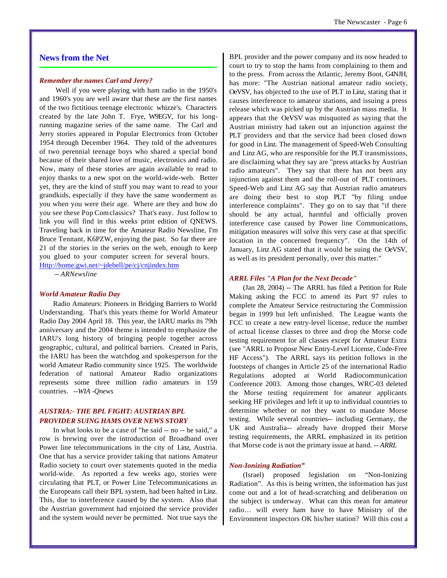#### **News from the Net**

#### *Remember the names Carl and Jerry?*

 Well if you were playing with ham radio in the 1950's and 1960's you are well aware that these are the first names of the two fictitious teenage electronic whizze's. Characters created by the late John T. Frye, W9EGV, for his longrunning magazine series of the same name. The Carl and Jerry stories appeared in Popular Electronics from October 1954 through December 1964. They told of the adventures of two perennial teenage boys who shared a special bond because of their shared love of music, electronics and radio. Now, many of these stories are again available to read to enjoy thanks to a new spot on the world-wide-web. Better yet, they are the kind of stuff you may want to read to your grandkids, especially if they have the same wonderment as you when you were their age. Where are they and how do you see these Pop Comclassics? That's easy. Just follow to link you will find in this weeks print edition of QNEWS. Traveling back in time for the Amateur Radio Newsline, I'm Bruce Tennant, K6PZW, enjoying the past. So far there are 21 of the stories in the series on the web, enough to keep you glued to your computer screen for several hours.

Http://home.gwi.net/~jdebell/pe/cj/cnjindex.htm *-- ARNewsline*

#### *World Amateur Radio Day*

Radio Amateurs: Pioneers in Bridging Barriers to World Understanding. That's this years theme for World Amateur Radio Day 2004 April 18. This year, the IARU marks its 79th anniversary and the 2004 theme is intended to emphasize the IARU's long history of bringing people together across geographic, cultural, and political barriers. Created in Paris, the IARU has been the watchdog and spokesperson for the world Amateur Radio community since 1925. The worldwide federation of national Amateur Radio organizations represents some three million radio amateurs in 159 countries. *--WIA -Qnews*

#### *AUSTRIA:- THE BPL FIGHT: AUSTRIAN BPL PROVIDER SUING HAMS OVER NEWS STORY*

In what looks to be a case of "he said -- no -- he said," a row is brewing over the introduction of Broadband over Power line telecommunications in the city of Linz, Austria. One that has a service provider taking that nations Amateur Radio society to court over statements quoted in the media world-wide. As reported a few weeks ago, stories were circulating that PLT, or Power Line Telecommunications as the Europeans call their BPL system, had been halted in Linz. This, due to interference caused by the system. Also that the Austrian government had enjoined the service provider and the system would never be permitted. Not true says the

BPL provider and the power company and its now headed to court to try to stop the hams from complaining to them and to the press. From across the Atlantic, Jeremy Boot, G4NJH, has more: "The Austrian national amateur radio society, OeVSV, has objected to the use of PLT in Linz, stating that it causes interference to amateur stations, and issuing a press release which was picked up by the Austrian mass media. It appears that the OeVSV was misquoted as saying that the Austrian ministry had taken out an injunction against the PLT providers and that the service had been closed down for good in Linz. The management of Speed-Web Consulting and Linz AG, who are responsible for the PLT transmissions, are disclaiming what they say are "press attacks by Austrian radio amateurs". They say that there has not been any injunction against them and the roll-out of PLT continues. Speed-Web and Linz AG say that Austrian radio amateurs are doing their best to stop PLT "by filing undue interference complaints". They go on to say that "if there should be any actual, harmful and officially proven interference case caused by Power line Communications, mitigation measures will solve this very case at that specific location in the concerned frequency". On the 14th of January, Linz AG stated that it would be suing the OeVSV, as well as its president personally, over this matter."

#### *ARRL Files "A Plan for the Next Decade"*

(Jan 28, 2004) -- The ARRL has filed a Petition for Rule Making asking the FCC to amend its Part 97 rules to complete the Amateur Service restructuring the Commission began in 1999 but left unfinished. The League wants the FCC to create a new entry-level license, reduce the number of actual license classes to three and drop the Morse code testing requirement for all classes except for Amateur Extra (see "ARRL to Propose New Entry-Level License, Code-Free HF Access"). The ARRL says its petition follows in the footsteps of changes in Article 25 of the international Radio Regulations adopted at World Radiocommunication Conference 2003. Among those changes, WRC-03 deleted the Morse testing requirement for amateur applicants seeking HF privileges and left it up to individual countries to determine whether or not they want to mandate Morse testing. While several countries-- including Germany, the UK and Australia-- already have dropped their Morse testing requirements, the ARRL emphasized in its petition that Morse code is not the primary issue at hand. *-- ARRL*

#### *Non-Ionizing Radiation"*

(Israel) proposed legislation on "Non-Ionizing Radiation". As this is being written, the information has just come out and a lot of head-scratching and deliberation on the subject is underway. What can this mean for amateur radio… will every ham have to have Ministry of the Environment inspectors OK his/her station? Will this cost a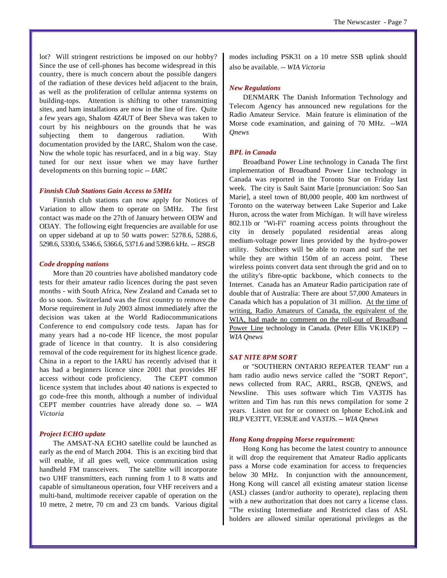lot? Will stringent restrictions be imposed on our hobby? Since the use of cell-phones has become widespread in this country, there is much concern about the possible dangers of the radiation of these devices held adjacent to the brain, as well as the proliferation of cellular antenna systems on building-tops. Attention is shifting to other transmitting sites, and ham installations are now in the line of fire. Quite a few years ago, Shalom 4Z4UT of Beer Sheva was taken to court by his neighbours on the grounds that he was subjecting them to dangerous radiation. With documentation provided by the IARC, Shalom won the case. Now the whole topic has resurfaced, and in a big way. Stay tuned for our next issue when we may have further developments on this burning topic *-- IARC*

#### *Finnish Club Stations Gain Access to 5MHz*

Finnish club stations can now apply for Notices of Variation to allow them to operate on 5MHz. The first contact was made on the 27th of January between OI3W and OI3AY. The following eight frequencies are available for use on upper sideband at up to 50 watts power: 5278.6, 5288.6, 5298.6, 5330.6, 5346.6, 5366.6, 5371.6 and 5398.6 kHz. *-- RSGB*

#### *Code dropping nations*

More than 20 countries have abolished mandatory code tests for their amateur radio licences during the past seven months - with South Africa, New Zealand and Canada set to do so soon. Switzerland was the first country to remove the Morse requirement in July 2003 almost immediately after the decision was taken at the World Radiocommunications Conference to end compulsory code tests. Japan has for many years had a no-code HF licence, the most popular grade of licence in that country. It is also considering removal of the code requirement for its highest licence grade. China in a report to the IARU has recently advised that it has had a beginners licence since 2001 that provides HF access without code proficiency. The CEPT common licence system that includes about 40 nations is expected to go code-free this month, although a number of individual CEPT member countries have already done so. *-- WIA Victoria*

#### *Project ECHO update*

The AMSAT-NA ECHO satellite could be launched as early as the end of March 2004. This is an exciting bird that will enable, if all goes well, voice communication using handheld FM transceivers. The satellite will incorporate two UHF transmitters, each running from 1 to 8 watts and capable of simultaneous operation, four VHF receivers and a multi-band, multimode receiver capable of operation on the 10 metre, 2 metre, 70 cm and 23 cm bands. Various digital modes including PSK31 on a 10 metre SSB uplink should also be available. *-- WIA Victoria*

#### *New Regulations*

DENMARK The Danish Information Technology and Telecom Agency has announced new regulations for the Radio Amateur Service. Main feature is elimination of the Morse code examination, and gaining of 70 MHz. *--WIA Qnews*

#### *BPL in Canada*

Broadband Power Line technology in Canada The first implementation of Broadband Power Line technology in Canada was reported in the Toronto Star on Friday last week. The city is Sault Saint Marie [pronunciation: Soo San Marie], a steel town of 80,000 people, 400 km northwest of Toronto on the waterway between Lake Superior and Lake Huron, across the water from Michigan. It will have wireless 802.11b or "Wi-Fi" roaming access points throughout the city in densely populated residential areas along medium-voltage power lines provided by the hydro-power utility. Subscribers will be able to roam and surf the net while they are within 150m of an access point. These wireless points convert data sent through the grid and on to the utility's fibre-optic backbone, which connects to the Internet. Canada has an Amateur Radio participation rate of double that of Australia: There are about 57,000 Amateurs in Canada which has a population of 31 million. At the time of writing, Radio Amateurs of Canada, the equivalent of the WIA, had made no comment on the roll-out of Broadband Power Line technology in Canada. (Peter Ellis VK1KEP) *-- WIA Qnews*

#### *SAT NITE 8PM SORT*

or "SOUTHERN ONTARIO REPEATER TEAM" run a ham radio audio news service called the "SORT Report", news collected from RAC, ARRL, RSGB, QNEWS, and Newsline. This uses software which Tim VA3TJS has written and Tim has run this news compilation for some 2 years. Listen out for or connect on Iphone EchoLink and IRLP VE3TTT, VE3SUE and VA3TJS. *-- WIA Qnews*

#### *Hong Kong dropping Morse requirement:*

Hong Kong has become the latest country to announce it will drop the requirement that Amateur Radio applicants pass a Morse code examination for access to frequencies below 30 MHz. In conjunction with the announcement, Hong Kong will cancel all existing amateur station license (ASL) classes (and/or authority to operate), replacing them with a new authorization that does not carry a license class. "The existing Intermediate and Restricted class of ASL holders are allowed similar operational privileges as the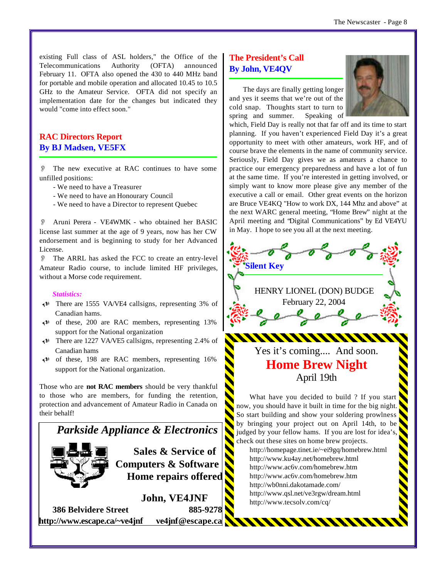existing Full class of ASL holders," the Office of the Telecommunications Authority (OFTA) announced February 11. OFTA also opened the 430 to 440 MHz band for portable and mobile operation and allocated 10.45 to 10.5 GHz to the Amateur Service. OFTA did not specify an implementation date for the changes but indicated they would "come into effect soon."

## **RAC Directors Report By BJ Madsen, VE5FX**

O The new executive at RAC continues to have some unfilled positions:

- We need to have a Treasurer
- We need to have an Honourary Council
- We need to have a Director to represent Quebec

O Aruni Perera - VE4WMK - who obtained her BASIC license last summer at the age of 9 years, now has her CW endorsement and is beginning to study for her Advanced License.

O The ARRL has asked the FCC to create an entry-level Amateur Radio course, to include limited HF privileges, without a Morse code requirement.

#### *Statistics:*

- $\triangleleft$  There are 1555 VA/VE4 callsigns, representing 3% of Canadian hams.
- $\leftrightarrow$  of these, 200 are RAC members, representing 13% support for the National organization
- U There are 1227 VA/VE5 callsigns, representing 2.4% of Canadian hams
- $\triangleleft$ <sup>0</sup> of these, 198 are RAC members, representing 16% support for the National organization.

Those who are **not RAC members** should be very thankful to those who are members, for funding the retention, protection and advancement of Amateur Radio in Canada on their behalf!



**http://www.escape.ca/~ve4jnf ve4jnf@escape.ca**

## **The President's Call By John, VE4QV**

The days are finally getting longer and yes it seems that we're out of the cold snap. Thoughts start to turn to spring and summer. Speaking of



which, Field Day is really not that far off and its time to start planning. If you haven't experienced Field Day it's a great opportunity to meet with other amateurs, work HF, and of course brave the elements in the name of community service. Seriously, Field Day gives we as amateurs a chance to practice our emergency preparedness and have a lot of fun at the same time. If you're interested in getting involved, or simply want to know more please give any member of the executive a call or email. Other great events on the horizon are Bruce VE4KQ "How to work DX, 144 Mhz and above" at the next WARC general meeting, "Home Brew" night at the April meeting and "Digital Communications" by Ed VE4YU in May. I hope to see you all at the next meeting.



http://www.ac6v.com/homebrew.htm http://www.ac6v.com/homebrew.htm http://wb0nni.dakotamade.com/ http://www.qsl.net/ve3rgw/dream.html http://www.tecsolv.com/cq/

WWWWWWW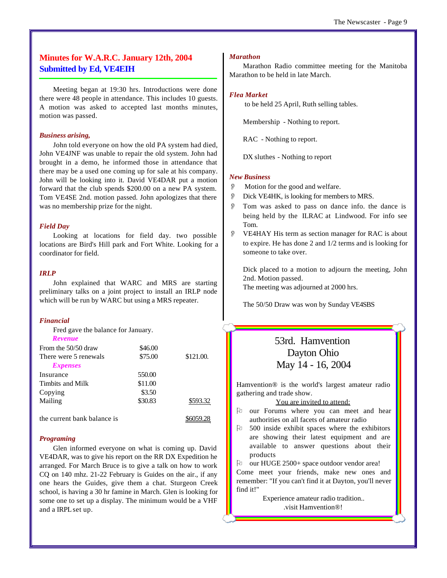## **Minutes for W.A.R.C. January 12th, 2004 Submitted by Ed, VE4EIH**

Meeting began at 19:30 hrs. Introductions were done there were 48 people in attendance. This includes 10 guests. A motion was asked to accepted last months minutes, motion was passed.

#### *Business arising,*

John told everyone on how the old PA system had died, John VE4JNF was unable to repair the old system. John had brought in a demo, he informed those in attendance that there may be a used one coming up for sale at his company. John will be looking into it. David VE4DAR put a motion forward that the club spends \$200.00 on a new PA system. Tom VE4SE 2nd. motion passed. John apologizes that there was no membership prize for the night.

#### *Field Day*

Looking at locations for field day. two possible locations are Bird's Hill park and Fort White. Looking for a coordinator for field.

### *IRLP*

John explained that WARC and MRS are starting preliminary talks on a joint project to install an IRLP node which will be run by WARC but using a MRS repeater.

#### *Financial*

Fred gave the balance for January.

| Revenue                     |         |           |
|-----------------------------|---------|-----------|
| From the $50/50$ draw       | \$46.00 |           |
| There were 5 renewals       | \$75.00 | \$121.00. |
| <i>Expenses</i>             |         |           |
| Insurance                   | 550.00  |           |
| Timbits and Milk            | \$11.00 |           |
| Copying                     | \$3.50  |           |
| Mailing                     | \$30.83 | \$593.32  |
|                             |         |           |
| the current bank balance is |         |           |

#### *Programing*

Glen informed everyone on what is coming up. David VE4DAR, was to give his report on the RR DX Expedition he arranged. For March Bruce is to give a talk on how to work CQ on 140 mhz. 21-22 February is Guides on the air., if any one hears the Guides, give them a chat. Sturgeon Creek school, is having a 30 hr famine in March. Glen is looking for some one to set up a display. The minimum would be a VHF and a IRPL set up.

#### *Marathon*

Marathon Radio committee meeting for the Manitoba Marathon to be held in late March.

#### *Flea Market*

to be held 25 April, Ruth selling tables.

Membership - Nothing to report.

RAC - Nothing to report.

DX sluthes - Nothing to report

#### *New Business*

- O Motion for the good and welfare.
- O Dick VE4HK, is looking for members to MRS.
- Tom was asked to pass on dance info. the dance is being held by the ILRAC at Lindwood. For info see Tom.
- O VE4HAY His term as section manager for RAC is about to expire. He has done 2 and 1/2 terms and is looking for someone to take over.

Dick placed to a motion to adjourn the meeting, John 2nd. Motion passed. The meeting was adjourned at 2000 hrs.

The 50/50 Draw was won by Sunday VE4SBS

## 53rd. Hamvention Dayton Ohio May 14 - 16, 2004

Hamvention® is the world's largest amateur radio gathering and trade show.

#### You are invited to attend:

- $\upbeta$  our Forums where you can meet and hear authorities on all facets of amateur radio
- $\upbeta$  500 inside exhibit spaces where the exhibitors are showing their latest equipment and are available to answer questions about their products
- $\upbeta$  our HUGE 2500+ space outdoor vendor area!

Come meet your friends, make new ones and remember: "If you can't find it at Dayton, you'll never find it!"

> Experience amateur radio tradition.. .visit Hamvention®!